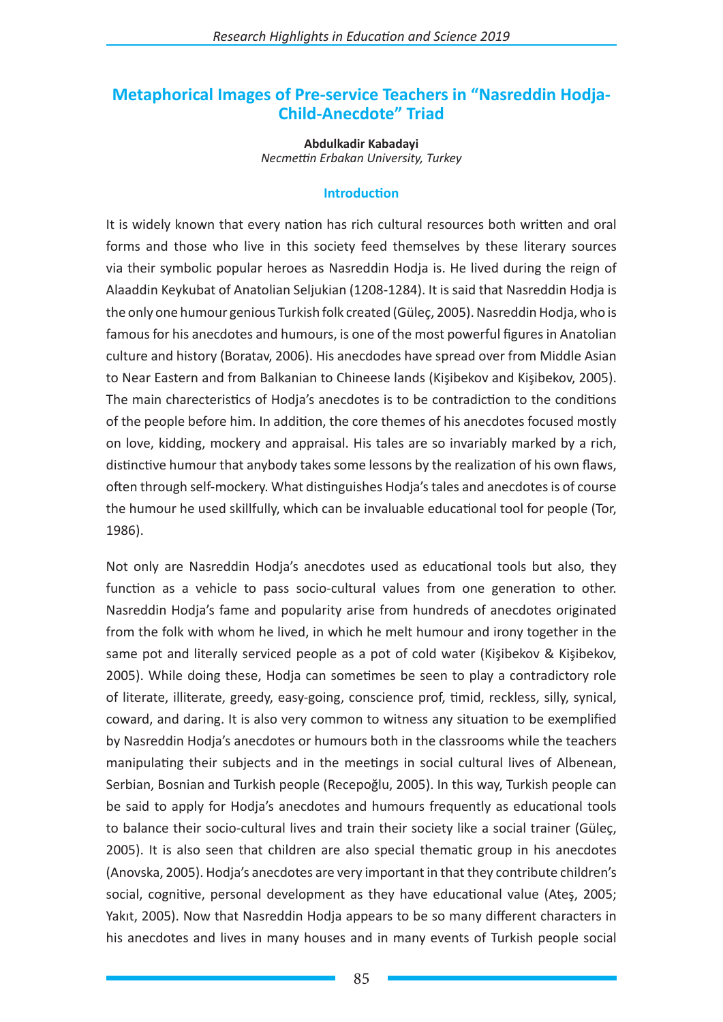# **Metaphorical Images of Pre-service Teachers in "Nasreddin Hodja-Child-Anecdote" Triad**

**Abdulkadir Kabadayi** *Necmettin Erbakan University, Turkey*

#### **Introduction**

It is widely known that every nation has rich cultural resources both written and oral forms and those who live in this society feed themselves by these literary sources via their symbolic popular heroes as Nasreddin Hodja is. He lived during the reign of Alaaddin Keykubat of Anatolian Seljukian (1208-1284). It is said that Nasreddin Hodja is the only one humour genious Turkish folk created (Güleç, 2005). Nasreddin Hodja, who is famous for his anecdotes and humours, is one of the most powerful figures in Anatolian culture and history (Boratav, 2006). His anecdodes have spread over from Middle Asian to Near Eastern and from Balkanian to Chineese lands (Kişibekov and Kişibekov, 2005). The main charecteristics of Hodja's anecdotes is to be contradiction to the conditions of the people before him. In addition, the core themes of his anecdotes focused mostly on love, kidding, mockery and appraisal. His tales are so invariably marked by a rich, distinctive humour that anybody takes some lessons by the realization of his own flaws, often through self-mockery. What distinguishes Hodja's tales and anecdotes is of course the humour he used skillfully, which can be invaluable educational tool for people (Tor, 1986).

Not only are Nasreddin Hodja's anecdotes used as educational tools but also, they function as a vehicle to pass socio-cultural values from one generation to other. Nasreddin Hodja's fame and popularity arise from hundreds of anecdotes originated from the folk with whom he lived, in which he melt humour and irony together in the same pot and literally serviced people as a pot of cold water (Kişibekov & Kişibekov, 2005). While doing these, Hodja can sometimes be seen to play a contradictory role of literate, illiterate, greedy, easy-going, conscience prof, timid, reckless, silly, synical, coward, and daring. It is also very common to witness any situation to be exemplified by Nasreddin Hodja's anecdotes or humours both in the classrooms while the teachers manipulating their subjects and in the meetings in social cultural lives of Albenean, Serbian, Bosnian and Turkish people (Recepoğlu, 2005). In this way, Turkish people can be said to apply for Hodja's anecdotes and humours frequently as educational tools to balance their socio-cultural lives and train their society like a social trainer (Güleç, 2005). It is also seen that children are also special thematic group in his anecdotes (Anovska, 2005). Hodja's anecdotes are very important in that they contribute children's social, cognitive, personal development as they have educational value (Ateş, 2005; Yakıt, 2005). Now that Nasreddin Hodja appears to be so many different characters in his anecdotes and lives in many houses and in many events of Turkish people social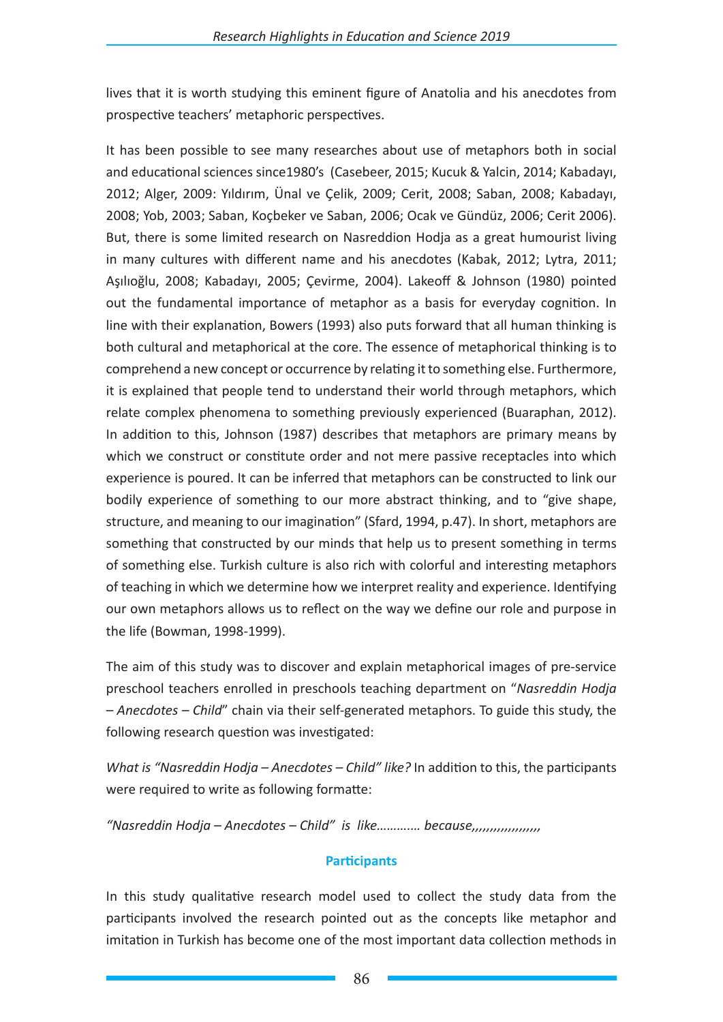lives that it is worth studying this eminent figure of Anatolia and his anecdotes from prospective teachers' metaphoric perspectives.

It has been possible to see many researches about use of metaphors both in social and educational sciences since1980's (Casebeer, 2015; Kucuk & Yalcin, 2014; Kabadayı, 2012; Alger, 2009: Yıldırım, Ünal ve Çelik, 2009; Cerit, 2008; Saban, 2008; Kabadayı, 2008; Yob, 2003; Saban, Koçbeker ve Saban, 2006; Ocak ve Gündüz, 2006; Cerit 2006). But, there is some limited research on Nasreddion Hodja as a great humourist living in many cultures with different name and his anecdotes (Kabak, 2012; Lytra, 2011; Aşılıoğlu, 2008; Kabadayı, 2005; Çevirme, 2004). Lakeoff & Johnson (1980) pointed out the fundamental importance of metaphor as a basis for everyday cognition. In line with their explanation, Bowers (1993) also puts forward that all human thinking is both cultural and metaphorical at the core. The essence of metaphorical thinking is to comprehend a new concept or occurrence by relating it to something else. Furthermore, it is explained that people tend to understand their world through metaphors, which relate complex phenomena to something previously experienced (Buaraphan, 2012). In addition to this, Johnson (1987) describes that metaphors are primary means by which we construct or constitute order and not mere passive receptacles into which experience is poured. It can be inferred that metaphors can be constructed to link our bodily experience of something to our more abstract thinking, and to "give shape, structure, and meaning to our imagination" (Sfard, 1994, p.47). In short, metaphors are something that constructed by our minds that help us to present something in terms of something else. Turkish culture is also rich with colorful and interesting metaphors of teaching in which we determine how we interpret reality and experience. Identifying our own metaphors allows us to reflect on the way we define our role and purpose in the life (Bowman, 1998-1999).

The aim of this study was to discover and explain metaphorical images of pre-service preschool teachers enrolled in preschools teaching department on "*Nasreddin Hodja – Anecdotes – Child*" chain via their self-generated metaphors. To guide this study, the following research question was investigated:

*What is "Nasreddin Hodja – Anecdotes – Child" like?* In addition to this, the participants were required to write as following formatte:

*"Nasreddin Hodja – Anecdotes – Child" is like……….… because,,,,,,,,,,,,,,,,,,,*

# **Participants**

In this study qualitative research model used to collect the study data from the participants involved the research pointed out as the concepts like metaphor and imitation in Turkish has become one of the most important data collection methods in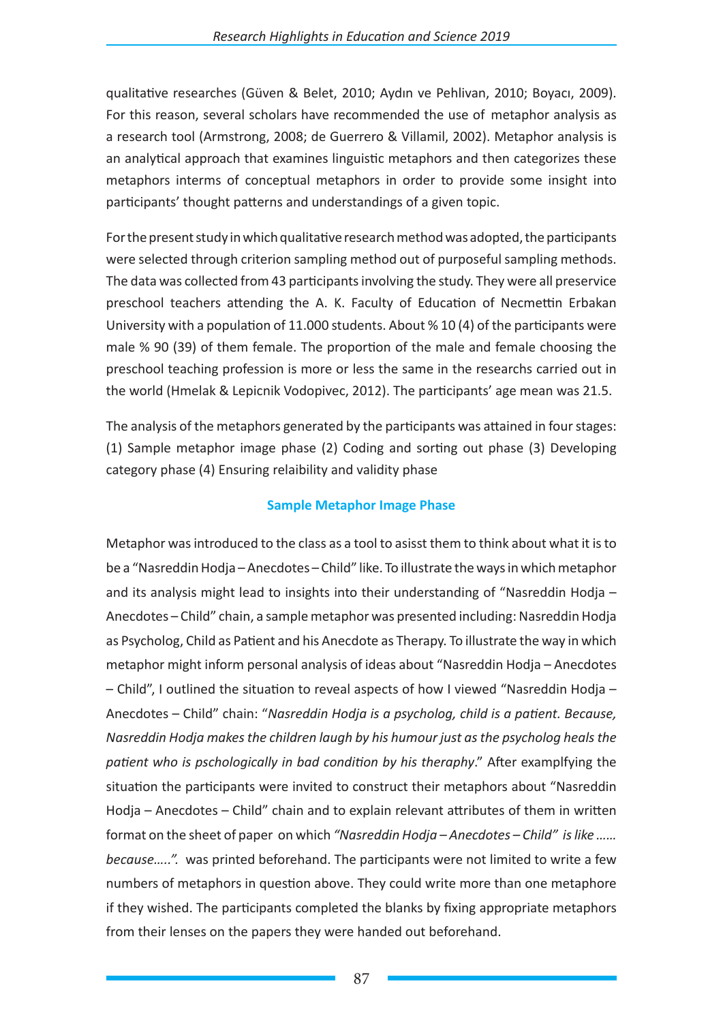qualitative researches (Güven & Belet, 2010; Aydın ve Pehlivan, 2010; Boyacı, 2009). For this reason, several scholars have recommended the use of metaphor analysis as a research tool (Armstrong, 2008; de Guerrero & Villamil, 2002). Metaphor analysis is an analytical approach that examines linguistic metaphors and then categorizes these metaphors interms of conceptual metaphors in order to provide some insight into participants' thought patterns and understandings of a given topic.

For the present study in which qualitative research method was adopted, the participants were selected through criterion sampling method out of purposeful sampling methods. The data was collected from 43 participants involving the study. They were all preservice preschool teachers attending the A. K. Faculty of Education of Necmettin Erbakan University with a population of 11.000 students. About % 10 (4) of the participants were male % 90 (39) of them female. The proportion of the male and female choosing the preschool teaching profession is more or less the same in the researchs carried out in the world (Hmelak & Lepicnik Vodopivec, 2012). The participants' age mean was 21.5.

The analysis of the metaphors generated by the participants was attained in four stages: (1) Sample metaphor image phase (2) Coding and sorting out phase (3) Developing category phase (4) Ensuring relaibility and validity phase

# **Sample Metaphor Image Phase**

Metaphor was introduced to the class as a tool to asisst them to think about what it is to be a "Nasreddin Hodja – Anecdotes – Child" like. To illustrate the ways in which metaphor and its analysis might lead to insights into their understanding of "Nasreddin Hodja – Anecdotes – Child" chain, a sample metaphor was presented including: Nasreddin Hodja as Psycholog, Child as Patient and his Anecdote as Therapy. To illustrate the way in which metaphor might inform personal analysis of ideas about "Nasreddin Hodja – Anecdotes – Child", I outlined the situation to reveal aspects of how I viewed "Nasreddin Hodja – Anecdotes – Child" chain: "*Nasreddin Hodja is a psycholog, child is a patient. Because, Nasreddin Hodja makes the children laugh by his humour just as the psycholog heals the patient who is pschologically in bad condition by his theraphy*." After examplfying the situation the participants were invited to construct their metaphors about "Nasreddin Hodja – Anecdotes – Child" chain and to explain relevant attributes of them in written format on the sheet of paper on which *"Nasreddin Hodja – Anecdotes – Child" is like …… because…..".* was printed beforehand. The participants were not limited to write a few numbers of metaphors in question above. They could write more than one metaphore if they wished. The participants completed the blanks by fixing appropriate metaphors from their lenses on the papers they were handed out beforehand.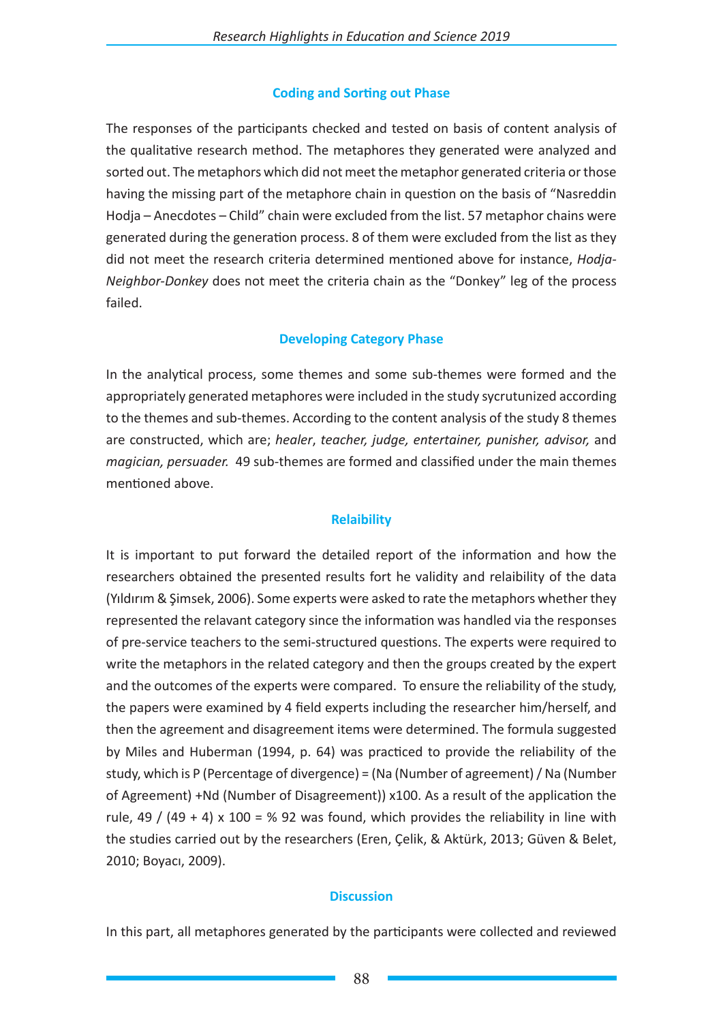## **Coding and Sorting out Phase**

The responses of the participants checked and tested on basis of content analysis of the qualitative research method. The metaphores they generated were analyzed and sorted out. The metaphors which did not meet the metaphor generated criteria or those having the missing part of the metaphore chain in question on the basis of "Nasreddin Hodja – Anecdotes – Child" chain were excluded from the list. 57 metaphor chains were generated during the generation process. 8 of them were excluded from the list as they did not meet the research criteria determined mentioned above for instance, *Hodja-Neighbor-Donkey* does not meet the criteria chain as the "Donkey" leg of the process failed.

## **Developing Category Phase**

In the analytical process, some themes and some sub-themes were formed and the appropriately generated metaphores were included in the study sycrutunized according to the themes and sub-themes. According to the content analysis of the study 8 themes are constructed, which are; *healer*, *teacher, judge, entertainer, punisher, advisor,* and *magician, persuader.* 49 sub-themes are formed and classified under the main themes mentioned above.

# **Relaibility**

It is important to put forward the detailed report of the information and how the researchers obtained the presented results fort he validity and relaibility of the data (Yıldırım & Şimsek, 2006). Some experts were asked to rate the metaphors whether they represented the relavant category since the information was handled via the responses of pre-service teachers to the semi-structured questions. The experts were required to write the metaphors in the related category and then the groups created by the expert and the outcomes of the experts were compared. To ensure the reliability of the study, the papers were examined by 4 field experts including the researcher him/herself, and then the agreement and disagreement items were determined. The formula suggested by Miles and Huberman (1994, p. 64) was practiced to provide the reliability of the study, which is P (Percentage of divergence) = (Na (Number of agreement) / Na (Number of Agreement) +Nd (Number of Disagreement)) x100. As a result of the application the rule, 49 / (49 + 4) x 100 = % 92 was found, which provides the reliability in line with the studies carried out by the researchers (Eren, Çelik, & Aktürk, 2013; Güven & Belet, 2010; Boyacı, 2009).

#### **Discussion**

In this part, all metaphores generated by the participants were collected and reviewed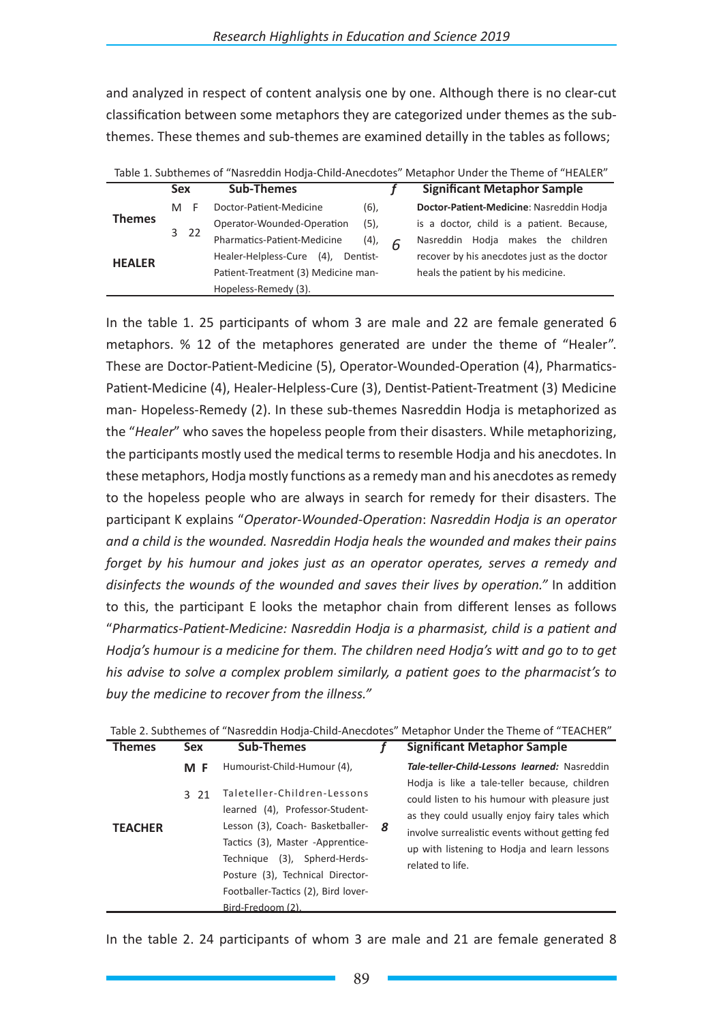and analyzed in respect of content analysis one by one. Although there is no clear-cut classification between some metaphors they are categorized under themes as the subthemes. These themes and sub-themes are examined detailly in the tables as follows;

|               | <b>Sex</b>                          | <b>Sub-Themes</b>                           |         | <b>Significant Metaphor Sample</b>          |
|---------------|-------------------------------------|---------------------------------------------|---------|---------------------------------------------|
|               | M                                   | Doctor-Patient-Medicine                     | (6),    | Doctor-Patient-Medicine: Nasreddin Hodja    |
| <b>Themes</b> | 3 <sub>22</sub>                     | Operator-Wounded-Operation                  | $(5)$ , | is a doctor, child is a patient. Because,   |
|               |                                     | Pharmatics-Patient-Medicine                 | (4),    | Nasreddin Hodja makes the children          |
| <b>HEALER</b> |                                     | Healer-Helpless-Cure<br>$(4)$ ,<br>Dentist- |         | recover by his anecdotes just as the doctor |
|               | Patient-Treatment (3) Medicine man- |                                             |         | heals the patient by his medicine.          |
|               |                                     | Hopeless-Remedy (3).                        |         |                                             |

In the table 1. 25 participants of whom 3 are male and 22 are female generated 6 metaphors. % 12 of the metaphores generated are under the theme of "Healer". These are Doctor-Patient-Medicine (5), Operator-Wounded-Operation (4), Pharmatics-Patient-Medicine (4), Healer-Helpless-Cure (3), Dentist-Patient-Treatment (3) Medicine man- Hopeless-Remedy (2). In these sub-themes Nasreddin Hodja is metaphorized as the "*Healer*" who saves the hopeless people from their disasters. While metaphorizing, the participants mostly used the medical terms to resemble Hodja and his anecdotes. In these metaphors, Hodja mostly functions as a remedy man and his anecdotes as remedy to the hopeless people who are always in search for remedy for their disasters. The participant K explains "*Operator-Wounded-Operation*: *Nasreddin Hodja is an operator and a child is the wounded. Nasreddin Hodja heals the wounded and makes their pains forget by his humour and jokes just as an operator operates, serves a remedy and disinfects the wounds of the wounded and saves their lives by operation."* In addition to this, the participant E looks the metaphor chain from different lenses as follows "*Pharmatics-Patient-Medicine: Nasreddin Hodja is a pharmasist, child is a patient and Hodja's humour is a medicine for them. The children need Hodja's witt and go to to get his advise to solve a complex problem similarly, a patient goes to the pharmacist's to buy the medicine to recover from the illness."*

|                |            |                                                                                                                                                                                                                                                                        |    | Table 2. Subthemes of "Nasreddin Hodja-Child-Anecdotes" Metaphor Under the Theme of "TEACHER"                                                                                                                                                                          |
|----------------|------------|------------------------------------------------------------------------------------------------------------------------------------------------------------------------------------------------------------------------------------------------------------------------|----|------------------------------------------------------------------------------------------------------------------------------------------------------------------------------------------------------------------------------------------------------------------------|
| <b>Themes</b>  | <b>Sex</b> | <b>Sub-Themes</b>                                                                                                                                                                                                                                                      |    | <b>Significant Metaphor Sample</b>                                                                                                                                                                                                                                     |
|                | M F        | Humourist-Child-Humour (4),                                                                                                                                                                                                                                            |    | Tale-teller-Child-Lessons learned: Nasreddin                                                                                                                                                                                                                           |
| <b>TEACHER</b> | 3 21       | Taleteller-Children-Lessons<br>learned (4), Professor-Student-<br>Lesson (3), Coach- Basketballer-<br>Tactics (3), Master -Apprentice-<br>Technique (3), Spherd-Herds-<br>Posture (3), Technical Director-<br>Footballer-Tactics (2), Bird lover-<br>Bird-Fredoom (2). | -8 | Hodia is like a tale-teller because, children<br>could listen to his humour with pleasure just<br>as they could usually enjoy fairy tales which<br>involve surrealistic events without getting fed<br>up with listening to Hodia and learn lessons<br>related to life. |

| Table 2. Subthemes of "Nasreddin Hodja-Child-Anecdotes" Metaphor Under the Theme of "TEACHER" |  |  |
|-----------------------------------------------------------------------------------------------|--|--|

In the table 2. 24 participants of whom 3 are male and 21 are female generated 8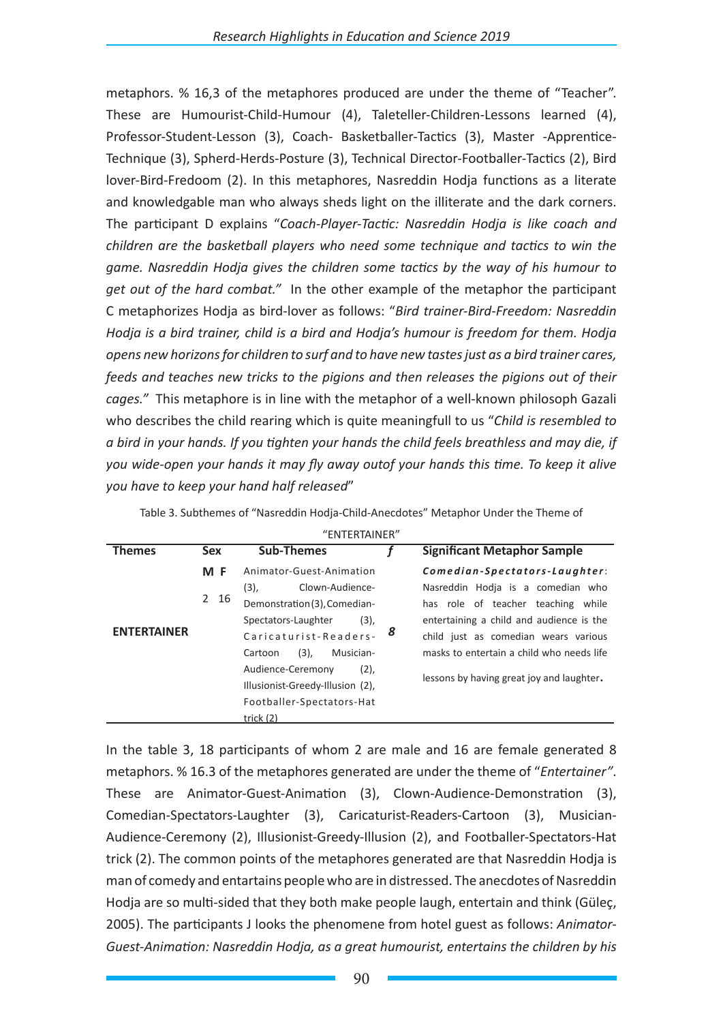metaphors. % 16,3 of the metaphores produced are under the theme of "Teacher". These are Humourist-Child-Humour (4), Taleteller-Children-Lessons learned (4), Professor-Student-Lesson (3), Coach- Basketballer-Tactics (3), Master -Apprentice-Technique (3), Spherd-Herds-Posture (3), Technical Director-Footballer-Tactics (2), Bird lover-Bird-Fredoom (2). In this metaphores, Nasreddin Hodja functions as a literate and knowledgable man who always sheds light on the illiterate and the dark corners. The participant D explains "*Coach-Player-Tactic: Nasreddin Hodja is like coach and children are the basketball players who need some technique and tactics to win the game. Nasreddin Hodja gives the children some tactics by the way of his humour to get out of the hard combat."* In the other example of the metaphor the participant C metaphorizes Hodja as bird-lover as follows: "*Bird trainer-Bird-Freedom: Nasreddin Hodja is a bird trainer, child is a bird and Hodja's humour is freedom for them. Hodja opens new horizons for children to surf and to have new tastes just as a bird trainer cares, feeds and teaches new tricks to the pigions and then releases the pigions out of their cages."* This metaphore is in line with the metaphor of a well-known philosoph Gazali who describes the child rearing which is quite meaningfull to us "*Child is resembled to a bird in your hands. If you tighten your hands the child feels breathless and may die, if you wide-open your hands it may fly away outof your hands this time. To keep it alive you have to keep your hand half released*"

| "ENTERTAINER"      |            |                                                         |   |                                           |  |  |  |  |
|--------------------|------------|---------------------------------------------------------|---|-------------------------------------------|--|--|--|--|
| <b>Themes</b>      | <b>Sex</b> | <b>Sub-Themes</b>                                       |   | <b>Significant Metaphor Sample</b>        |  |  |  |  |
|                    | M F        | Animator-Guest-Animation                                |   | Comedian-Spectators-Laughter:             |  |  |  |  |
|                    |            | (3),<br>Clown-Audience-<br>Demonstration (3), Comedian- |   | Nasreddin Hodia is a comedian who         |  |  |  |  |
|                    | 2 16       |                                                         |   | has role of teacher teaching<br>while     |  |  |  |  |
|                    |            | Spectators-Laughter<br>(3),                             |   | entertaining a child and audience is the  |  |  |  |  |
| <b>ENTERTAINER</b> |            | Caricaturist-Readers-                                   | 8 | child just as comedian wears various      |  |  |  |  |
|                    |            | (3),<br>Musician-<br>Cartoon                            |   | masks to entertain a child who needs life |  |  |  |  |
|                    |            | (2),<br>Audience-Ceremony                               |   |                                           |  |  |  |  |
|                    |            | Illusionist-Greedy-Illusion (2),                        |   | lessons by having great joy and laughter. |  |  |  |  |
|                    |            | Footballer-Spectators-Hat                               |   |                                           |  |  |  |  |
|                    |            | trick $(2)$                                             |   |                                           |  |  |  |  |

Table 3. Subthemes of "Nasreddin Hodja-Child-Anecdotes" Metaphor Under the Theme of

In the table 3, 18 participants of whom 2 are male and 16 are female generated 8 metaphors. % 16.3 of the metaphores generated are under the theme of "*Entertainer"*. These are Animator-Guest-Animation (3), Clown-Audience-Demonstration (3), Comedian-Spectators-Laughter (3), Caricaturist-Readers-Cartoon (3), Musician-Audience-Ceremony (2), Illusionist-Greedy-Illusion (2), and Footballer-Spectators-Hat trick (2). The common points of the metaphores generated are that Nasreddin Hodja is man of comedy and entartains people who are in distressed. The anecdotes of Nasreddin Hodja are so multi-sided that they both make people laugh, entertain and think (Güleç, 2005). The participants J looks the phenomene from hotel guest as follows: *Animator-Guest-Animation: Nasreddin Hodja, as a great humourist, entertains the children by his*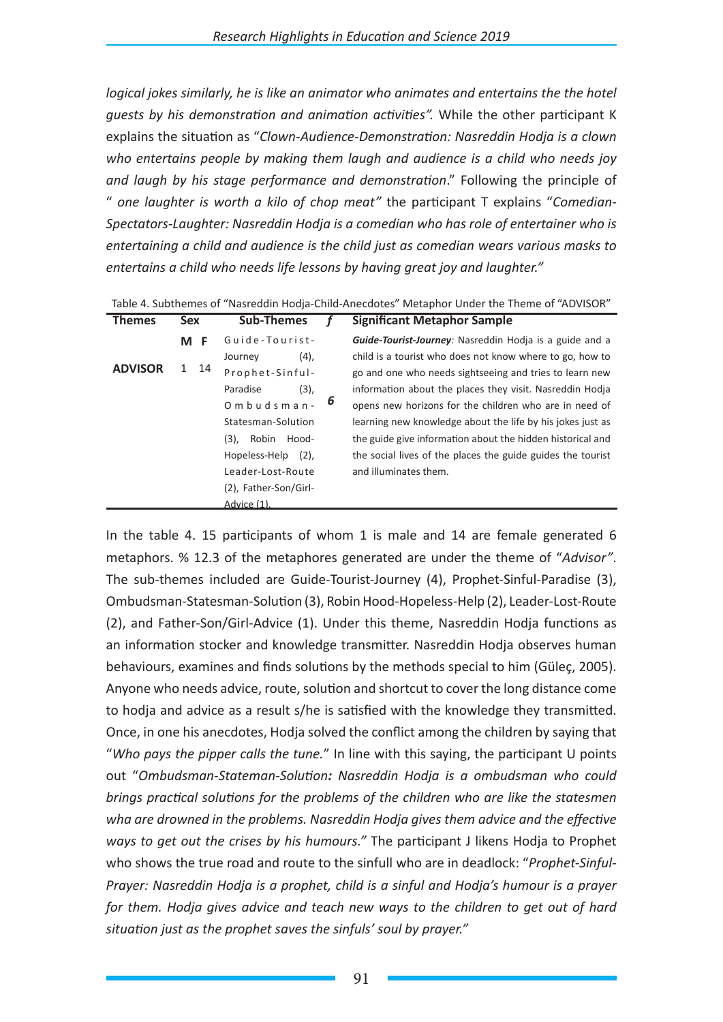*logical jokes similarly, he is like an animator who animates and entertains the the hotel guests by his demonstration and animation activities".* While the other participant K explains the situation as "*Clown-Audience-Demonstration: Nasreddin Hodja is a clown who entertains people by making them laugh and audience is a child who needs joy and laugh by his stage performance and demonstration*." Following the principle of " *one laughter is worth a kilo of chop meat"* the participant T explains "*Comedian-Spectators-Laughter: Nasreddin Hodja is a comedian who has role of entertainer who is entertaining a child and audience is the child just as comedian wears various masks to entertains a child who needs life lessons by having great joy and laughter."*

| <b>Themes</b>  | <b>Sex</b>            | <b>Sub-Themes</b>        |   | <b>Significant Metaphor Sample</b>                             |
|----------------|-----------------------|--------------------------|---|----------------------------------------------------------------|
|                | M F                   | Guide-Tourist-           |   | <b>Guide-Tourist-Journey:</b> Nasreddin Hodia is a guide and a |
|                |                       | (4),<br>Journey          |   | child is a tourist who does not know where to go, how to       |
| <b>ADVISOR</b> | 1 14                  | Prophet-Sinful-          |   | go and one who needs sightseeing and tries to learn new        |
|                |                       | (3),<br>Paradise         |   | information about the places they visit. Nasreddin Hodja       |
|                | $0$ m b u d s m a n - |                          | 6 | opens new horizons for the children who are in need of         |
|                |                       | Statesman-Solution       |   | learning new knowledge about the life by his jokes just as     |
|                |                       | Robin Hood-<br>$(3)$ ,   |   | the guide give information about the hidden historical and     |
|                |                       | Hopeless-Help<br>$(2)$ , |   | the social lives of the places the guide guides the tourist    |
|                |                       | Leader-Lost-Route        |   | and illuminates them.                                          |
|                |                       | (2), Father-Son/Girl-    |   |                                                                |
|                |                       | Advice (1).              |   |                                                                |

Table 4. Subthemes of "Nasreddin Hodja-Child-Anecdotes" Metaphor Under the Theme of "ADVISOR"

In the table 4. 15 participants of whom 1 is male and 14 are female generated 6 metaphors. % 12.3 of the metaphores generated are under the theme of "*Advisor"*. The sub-themes included are Guide-Tourist-Journey (4), Prophet-Sinful-Paradise (3), Ombudsman-Statesman-Solution (3), Robin Hood-Hopeless-Help (2), Leader-Lost-Route (2), and Father-Son/Girl-Advice (1). Under this theme, Nasreddin Hodja functions as an information stocker and knowledge transmitter. Nasreddin Hodja observes human behaviours, examines and finds solutions by the methods special to him (Güleç, 2005). Anyone who needs advice, route, solution and shortcut to cover the long distance come to hodja and advice as a result s/he is satisfied with the knowledge they transmitted. Once, in one his anecdotes, Hodja solved the conflict among the children by saying that "*Who pays the pipper calls the tune.*" In line with this saying, the participant U points out "*Ombudsman-Stateman-Solution: Nasreddin Hodja is a ombudsman who could brings practical solutions for the problems of the children who are like the statesmen wha are drowned in the problems. Nasreddin Hodja gives them advice and the effective ways to get out the crises by his humours."* The participant J likens Hodja to Prophet who shows the true road and route to the sinfull who are in deadlock: "*Prophet-Sinful-Prayer: Nasreddin Hodja is a prophet, child is a sinful and Hodja's humour is a prayer for them. Hodja gives advice and teach new ways to the children to get out of hard situation just as the prophet saves the sinfuls' soul by prayer."*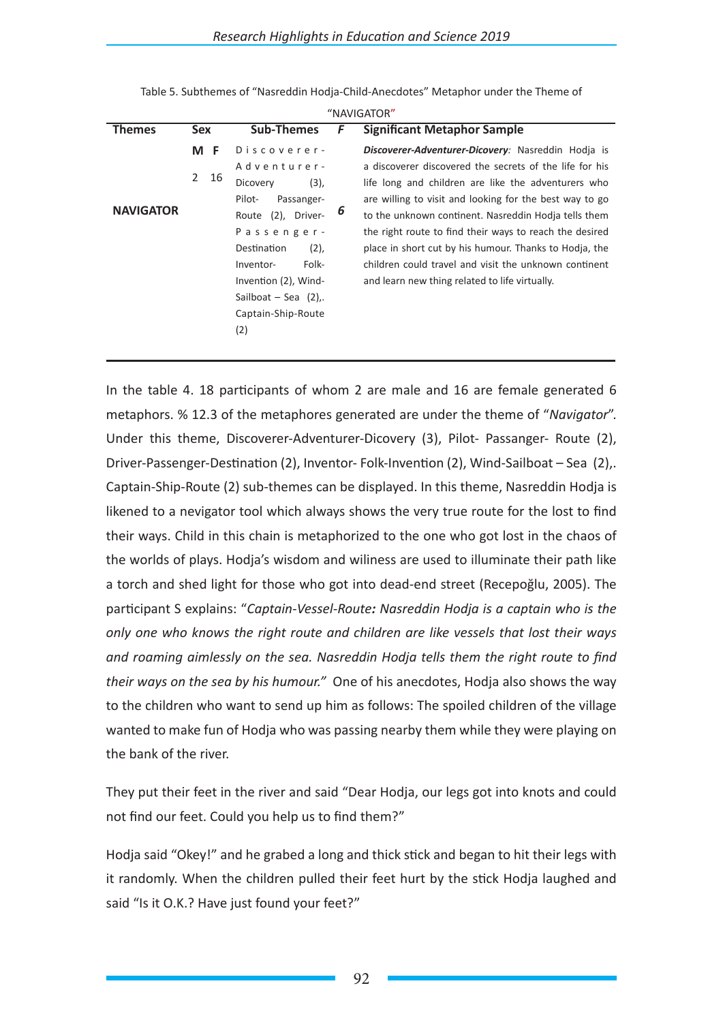|                  |                    |                         |   | NAVIGAIUR                                               |
|------------------|--------------------|-------------------------|---|---------------------------------------------------------|
| <b>Themes</b>    | <b>Sex</b>         | <b>Sub-Themes</b>       | F | <b>Significant Metaphor Sample</b>                      |
|                  | M F                | Discoverer-             |   | Discoverer-Adventurer-Dicovery: Nasreddin Hodia is      |
|                  |                    | Adventurer-             |   | a discoverer discovered the secrets of the life for his |
|                  | $\mathbf{2}$<br>16 | (3),<br>Dicovery        |   | life long and children are like the adventurers who     |
|                  |                    | Pilot-<br>Passanger-    |   | are willing to visit and looking for the best way to go |
| <b>NAVIGATOR</b> |                    | Route (2), Driver-      | 6 | to the unknown continent. Nasreddin Hodia tells them    |
|                  |                    | Passenger-              |   | the right route to find their ways to reach the desired |
|                  |                    | Destination<br>(2),     |   | place in short cut by his humour. Thanks to Hodja, the  |
|                  |                    | Folk-<br>Inventor-      |   | children could travel and visit the unknown continent   |
|                  |                    | Invention (2), Wind-    |   | and learn new thing related to life virtually.          |
|                  |                    | Sailboat – Sea $(2)$ ,. |   |                                                         |
|                  |                    | Captain-Ship-Route      |   |                                                         |
|                  |                    | (2)                     |   |                                                         |
|                  |                    |                         |   |                                                         |

Table 5. Subthemes of "Nasreddin Hodja-Child-Anecdotes" Metaphor under the Theme of  $^{\prime\prime}$ NAVICATOR"

In the table 4. 18 participants of whom 2 are male and 16 are female generated 6 metaphors. % 12.3 of the metaphores generated are under the theme of "*Navigator*". Under this theme, Discoverer-Adventurer-Dicovery (3), Pilot- Passanger- Route (2), Driver-Passenger-Destination (2), Inventor- Folk-Invention (2), Wind-Sailboat – Sea (2),. Captain-Ship-Route (2) sub-themes can be displayed. In this theme, Nasreddin Hodja is likened to a nevigator tool which always shows the very true route for the lost to find their ways. Child in this chain is metaphorized to the one who got lost in the chaos of the worlds of plays. Hodja's wisdom and wiliness are used to illuminate their path like a torch and shed light for those who got into dead-end street (Recepoğlu, 2005). The participant S explains: "*Captain-Vessel-Route: Nasreddin Hodja is a captain who is the only one who knows the right route and children are like vessels that lost their ways and roaming aimlessly on the sea. Nasreddin Hodja tells them the right route to find their ways on the sea by his humour."* One of his anecdotes, Hodja also shows the way to the children who want to send up him as follows: The spoiled children of the village wanted to make fun of Hodja who was passing nearby them while they were playing on the bank of the river.

They put their feet in the river and said "Dear Hodja, our legs got into knots and could not find our feet. Could you help us to find them?"

Hodja said "Okey!" and he grabed a long and thick stick and began to hit their legs with it randomly. When the children pulled their feet hurt by the stick Hodja laughed and said "Is it O.K.? Have just found your feet?"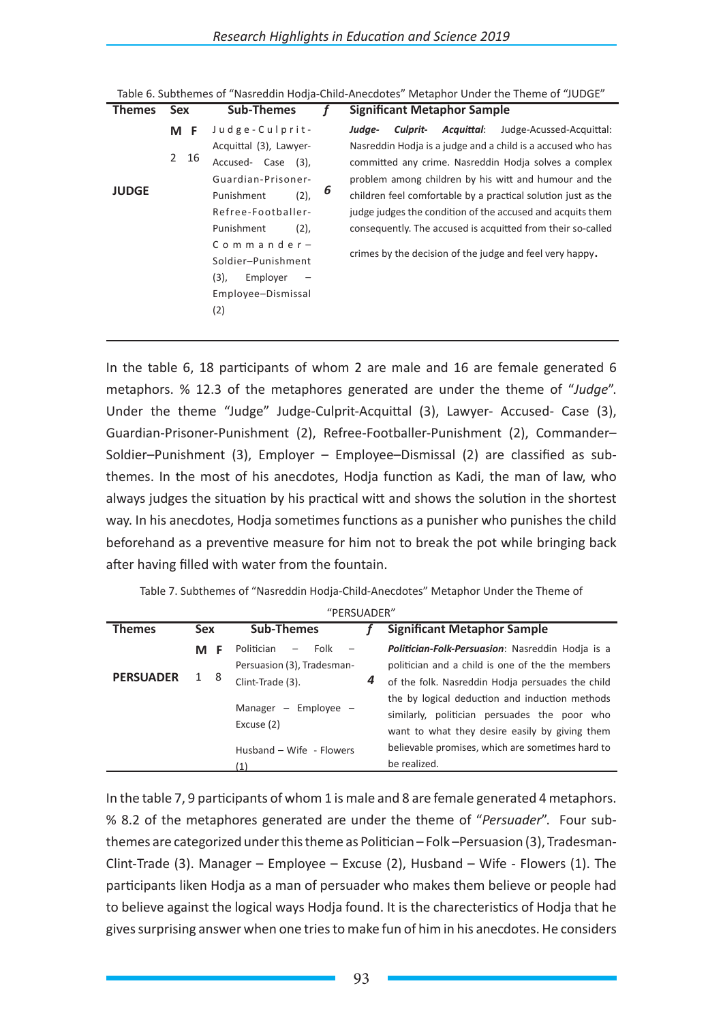| <b>Themes</b> | <b>Sex</b>         | <b>Sub-Themes</b>                                                                                                                    |   | <b>Significant Metaphor Sample</b>                                                                                                                                                                                                                                                                                                                                          |  |  |  |
|---------------|--------------------|--------------------------------------------------------------------------------------------------------------------------------------|---|-----------------------------------------------------------------------------------------------------------------------------------------------------------------------------------------------------------------------------------------------------------------------------------------------------------------------------------------------------------------------------|--|--|--|
|               | M F                | Judge-Culprit-                                                                                                                       |   | Acquittal:<br>Judge-Acussed-Acquittal:<br>Judae-<br>Culprit-                                                                                                                                                                                                                                                                                                                |  |  |  |
| <b>JUDGE</b>  | $\mathbf{2}$<br>16 | Acquittal (3), Lawyer-<br>Accused- Case (3),<br>Guardian-Prisoner-<br>Punishment<br>(2),<br>Refree-Footballer-<br>Punishment<br>(2), | 6 | Nasreddin Hodja is a judge and a child is a accused who has<br>committed any crime. Nasreddin Hodia solves a complex<br>problem among children by his witt and humour and the<br>children feel comfortable by a practical solution just as the<br>judge judges the condition of the accused and acquits them<br>consequently. The accused is acquitted from their so-called |  |  |  |
|               |                    | $Commander-$<br>Soldier-Punishment<br>$(3)$ ,<br>Employer<br>Employee-Dismissal<br>(2)                                               |   | crimes by the decision of the judge and feel very happy.                                                                                                                                                                                                                                                                                                                    |  |  |  |

Table 6. Subthemes of "Nasreddin Hodja-Child-Anecdotes" Metaphor Under the Theme of "JUDGE"

In the table 6, 18 participants of whom 2 are male and 16 are female generated 6 metaphors. % 12.3 of the metaphores generated are under the theme of "*Judge*". Under the theme "Judge" Judge-Culprit-Acquittal (3), Lawyer- Accused- Case (3), Guardian-Prisoner-Punishment (2), Refree-Footballer-Punishment (2), Commander– Soldier–Punishment (3), Employer – Employee–Dismissal (2) are classified as subthemes. In the most of his anecdotes, Hodja function as Kadi, the man of law, who always judges the situation by his practical witt and shows the solution in the shortest way. In his anecdotes, Hodja sometimes functions as a punisher who punishes the child beforehand as a preventive measure for him not to break the pot while bringing back after having filled with water from the fountain.

| "PERSUADER"               |            |                                                         |   |                                                                                                                                                  |  |  |  |  |
|---------------------------|------------|---------------------------------------------------------|---|--------------------------------------------------------------------------------------------------------------------------------------------------|--|--|--|--|
| <b>Themes</b>             | <b>Sex</b> | <b>Sub-Themes</b>                                       |   | <b>Significant Metaphor Sample</b>                                                                                                               |  |  |  |  |
|                           | M.         | Folk<br>Politician<br>$-$<br>Persuasion (3), Tradesman- |   | <b>Politician-Folk-Persuasion:</b> Nasreddin Hodia is a<br>politician and a child is one of the the members                                      |  |  |  |  |
| <b>PERSUADER</b>          | 1 8        | Clint-Trade (3).                                        | 4 | of the folk. Nasreddin Hodja persuades the child                                                                                                 |  |  |  |  |
| Manager $-$<br>Excuse (2) |            | Employee                                                |   | the by logical deduction and induction methods<br>similarly, politician persuades the poor who<br>want to what they desire easily by giving them |  |  |  |  |
|                           |            | Husband - Wife - Flowers                                |   | believable promises, which are sometimes hard to<br>be realized.                                                                                 |  |  |  |  |

Table 7. Subthemes of "Nasreddin Hodja-Child-Anecdotes" Metaphor Under the Theme of

In the table 7, 9 participants of whom 1 is male and 8 are female generated 4 metaphors. % 8.2 of the metaphores generated are under the theme of "*Persuader*". Four subthemes are categorized under this theme as Politician – Folk –Persuasion (3), Tradesman-Clint-Trade (3). Manager – Employee – Excuse (2), Husband – Wife - Flowers (1). The participants liken Hodja as a man of persuader who makes them believe or people had to believe against the logical ways Hodja found. It is the charecteristics of Hodja that he gives surprising answer when one tries to make fun of him in his anecdotes. He considers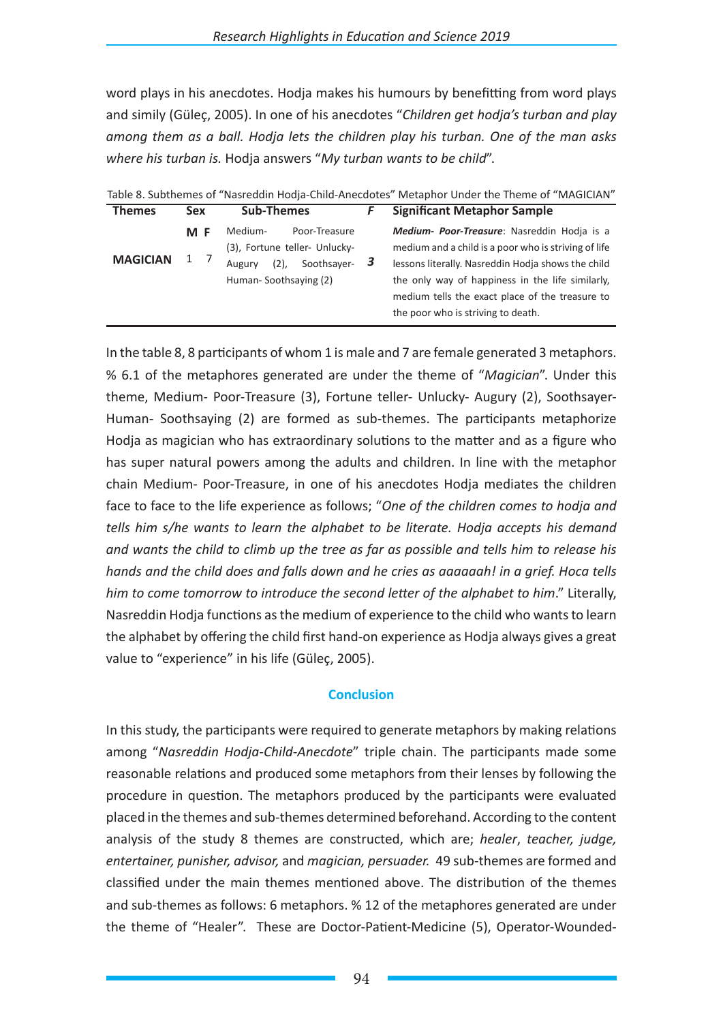word plays in his anecdotes. Hodja makes his humours by benefitting from word plays and simily (Güleç, 2005). In one of his anecdotes "*Children get hodja's turban and play among them as a ball. Hodja lets the children play his turban. One of the man asks where his turban is.* Hodja answers "*My turban wants to be child*".

|                 |            |                                                                                                                            | ישטוט טו טעגווטווטט טו - וועטוכעמות ווטעןט טווווט זיווטטעטנטט - וויונגעאווטר טוועכר גווט וווטוווט טו - וויו וטו                                                                                                                                                         |
|-----------------|------------|----------------------------------------------------------------------------------------------------------------------------|-------------------------------------------------------------------------------------------------------------------------------------------------------------------------------------------------------------------------------------------------------------------------|
| <b>Themes</b>   | <b>Sex</b> | <b>Sub-Themes</b>                                                                                                          | <b>Significant Metaphor Sample</b>                                                                                                                                                                                                                                      |
| <b>MAGICIAN</b> | M F<br>1   | Poor-Treasure<br>Medium-<br>(3), Fortune teller- Unlucky-<br>Soothsayer- $3$<br>$(2)$ ,<br>Augury<br>Human-Soothsaying (2) | <b>Medium- Poor-Treasure:</b> Nasreddin Hodia is a<br>medium and a child is a poor who is striving of life<br>lessons literally. Nasreddin Hodia shows the child<br>the only way of happiness in the life similarly,<br>medium tells the exact place of the treasure to |
|                 |            |                                                                                                                            | the poor who is striving to death.                                                                                                                                                                                                                                      |

Table 8. Subthemes of "Nasreddin Hodja-Child-Anecdotes" Metaphor Under the Theme of "MAGICIAN"

In the table 8, 8 participants of whom 1 is male and 7 are female generated 3 metaphors. % 6.1 of the metaphores generated are under the theme of "*Magician*". Under this theme, Medium- Poor-Treasure (3), Fortune teller- Unlucky- Augury (2), Soothsayer-Human- Soothsaying (2) are formed as sub-themes. The participants metaphorize Hodja as magician who has extraordinary solutions to the matter and as a figure who has super natural powers among the adults and children. In line with the metaphor chain Medium- Poor-Treasure, in one of his anecdotes Hodja mediates the children face to face to the life experience as follows; "*One of the children comes to hodja and tells him s/he wants to learn the alphabet to be literate. Hodja accepts his demand and wants the child to climb up the tree as far as possible and tells him to release his hands and the child does and falls down and he cries as aaaaaah! in a grief. Hoca tells him to come tomorrow to introduce the second letter of the alphabet to him*." Literally, Nasreddin Hodja functions as the medium of experience to the child who wants to learn the alphabet by offering the child first hand-on experience as Hodja always gives a great value to "experience" in his life (Güleç, 2005).

#### **Conclusion**

In this study, the participants were required to generate metaphors by making relations among "*Nasreddin Hodja-Child-Anecdote*" triple chain. The participants made some reasonable relations and produced some metaphors from their lenses by following the procedure in question. The metaphors produced by the participants were evaluated placed in the themes and sub-themes determined beforehand. According to the content analysis of the study 8 themes are constructed, which are; *healer*, *teacher, judge, entertainer, punisher, advisor,* and *magician, persuader.* 49 sub-themes are formed and classified under the main themes mentioned above. The distribution of the themes and sub-themes as follows: 6 metaphors. % 12 of the metaphores generated are under the theme of "Healer". These are Doctor-Patient-Medicine (5), Operator-Wounded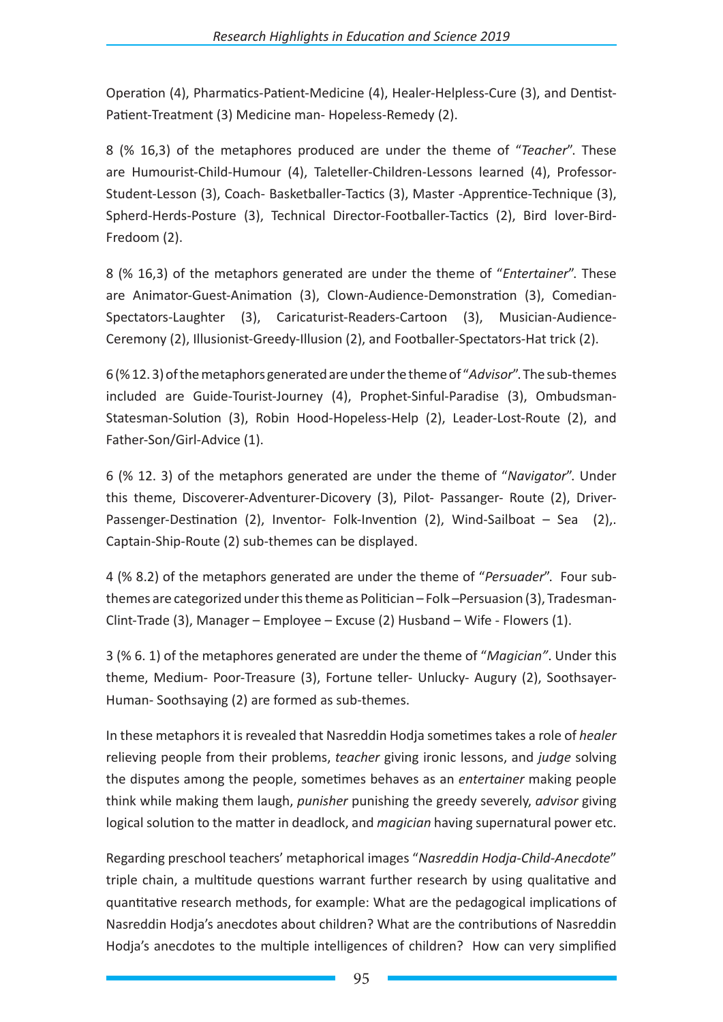Operation (4), Pharmatics-Patient-Medicine (4), Healer-Helpless-Cure (3), and Dentist-Patient-Treatment (3) Medicine man- Hopeless-Remedy (2).

8 (% 16,3) of the metaphores produced are under the theme of "*Teacher*". These are Humourist-Child-Humour (4), Taleteller-Children-Lessons learned (4), Professor-Student-Lesson (3), Coach- Basketballer-Tactics (3), Master -Apprentice-Technique (3), Spherd-Herds-Posture (3), Technical Director-Footballer-Tactics (2), Bird lover-Bird-Fredoom (2).

8 (% 16,3) of the metaphors generated are under the theme of "*Entertainer*". These are Animator-Guest-Animation (3), Clown-Audience-Demonstration (3), Comedian-Spectators-Laughter (3), Caricaturist-Readers-Cartoon (3), Musician-Audience-Ceremony (2), Illusionist-Greedy-Illusion (2), and Footballer-Spectators-Hat trick (2).

6 (% 12. 3) of the metaphors generated are under the theme of "*Advisor*". The sub-themes included are Guide-Tourist-Journey (4), Prophet-Sinful-Paradise (3), Ombudsman-Statesman-Solution (3), Robin Hood-Hopeless-Help (2), Leader-Lost-Route (2), and Father-Son/Girl-Advice (1).

6 (% 12. 3) of the metaphors generated are under the theme of "*Navigator*". Under this theme, Discoverer-Adventurer-Dicovery (3), Pilot- Passanger- Route (2), Driver-Passenger-Destination (2), Inventor- Folk-Invention (2), Wind-Sailboat – Sea (2),. Captain-Ship-Route (2) sub-themes can be displayed.

4 (% 8.2) of the metaphors generated are under the theme of "*Persuader*". Four subthemes are categorized under this theme as Politician – Folk –Persuasion (3), Tradesman-Clint-Trade (3), Manager – Employee – Excuse (2) Husband – Wife - Flowers (1).

3 (% 6. 1) of the metaphores generated are under the theme of "*Magician"*. Under this theme, Medium- Poor-Treasure (3), Fortune teller- Unlucky- Augury (2), Soothsayer-Human- Soothsaying (2) are formed as sub-themes.

In these metaphors it is revealed that Nasreddin Hodja sometimes takes a role of *healer* relieving people from their problems, *teacher* giving ironic lessons, and *judge* solving the disputes among the people, sometimes behaves as an *entertainer* making people think while making them laugh, *punisher* punishing the greedy severely, *advisor* giving logical solution to the matter in deadlock, and *magician* having supernatural power etc.

Regarding preschool teachers' metaphorical images "*Nasreddin Hodja-Child-Anecdote*" triple chain, a multitude questions warrant further research by using qualitative and quantitative research methods, for example: What are the pedagogical implications of Nasreddin Hodja's anecdotes about children? What are the contributions of Nasreddin Hodja's anecdotes to the multiple intelligences of children? How can very simplified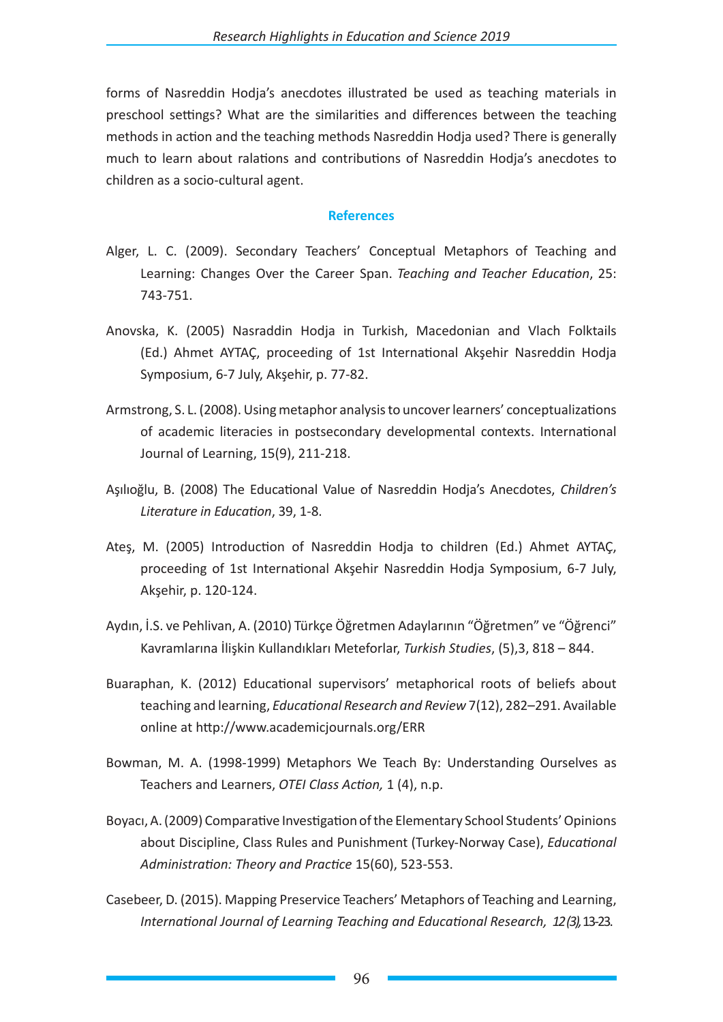forms of Nasreddin Hodja's anecdotes illustrated be used as teaching materials in preschool settings? What are the similarities and differences between the teaching methods in action and the teaching methods Nasreddin Hodja used? There is generally much to learn about ralations and contributions of Nasreddin Hodja's anecdotes to children as a socio-cultural agent.

#### **References**

- Alger, L. C. (2009). Secondary Teachers' Conceptual Metaphors of Teaching and Learning: Changes Over the Career Span. *Teaching and Teacher Education*, 25: 743-751.
- Anovska, K. (2005) Nasraddin Hodja in Turkish, Macedonian and Vlach Folktails (Ed.) Ahmet AYTAÇ, proceeding of 1st International Akşehir Nasreddin Hodja Symposium, 6-7 July, Akşehir, p. 77-82.
- Armstrong, S. L. (2008). Using metaphor analysis to uncover learners' conceptualizations of academic literacies in postsecondary developmental contexts. International Journal of Learning, 15(9), 211-218.
- Aşılıoğlu, B. (2008) The Educational Value of Nasreddin Hodja's Anecdotes, *Children's Literature in Education*, 39, 1-8.
- Ateş, M. (2005) Introduction of Nasreddin Hodja to children (Ed.) Ahmet AYTAÇ, proceeding of 1st International Akşehir Nasreddin Hodja Symposium, 6-7 July, Akşehir, p. 120-124.
- Aydın, İ.S. ve Pehlivan, A. (2010) Türkçe Öğretmen Adaylarının "Öğretmen" ve "Öğrenci" Kavramlarına İlişkin Kullandıkları Meteforlar, *Turkish Studies*, (5),3, 818 – 844.
- Buaraphan, K. (2012) Educational supervisors' metaphorical roots of beliefs about teaching and learning, *Educational Research and Review* 7(12), 282–291. Available online at http://www.academicjournals.org/ERR
- Bowman, M. A. (1998-1999) Metaphors We Teach By: Understanding Ourselves as Teachers and Learners, *OTEI Class Action,* 1 (4), n.p.
- Boyacı, A. (2009) Comparative Investigation of the Elementary School Students' Opinions about Discipline, Class Rules and Punishment (Turkey-Norway Case), *Educational Administration: Theory and Practice* 15(60), 523-553.
- Casebeer, D. (2015). Mapping Preservice Teachers' Metaphors of Teaching and Learning, *International Journal of Learning Teaching and Educational Research, 12 (3),* 13-23.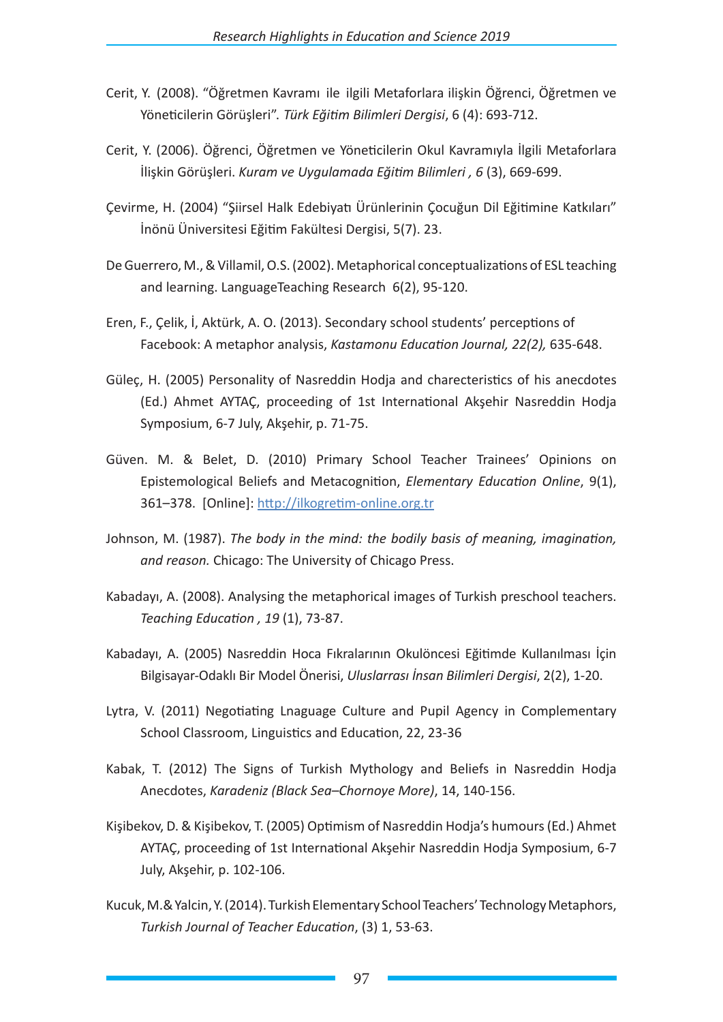- Cerit, Y. (2008). "Öğretmen Kavramı ile ilgili Metaforlara ilişkin Öğrenci, Öğretmen ve Yöneticilerin Görüşleri". *Türk Eğitim Bilimleri Dergisi*, 6 (4): 693-712.
- Cerit, Y. (2006). Öğrenci, Öğretmen ve Yöneticilerin Okul Kavramıyla İlgili Metaforlara İlişkin Görüşleri. *Kuram ve Uygulamada Eğitim Bilimleri , 6* (3), 669-699.
- Çevirme, H. (2004) "Şiirsel Halk Edebiyatı Ürünlerinin Çocuğun Dil Eğitimine Katkıları" İnönü Üniversitesi Eğitim Fakültesi Dergisi, 5(7). 23.
- De Guerrero, M., & Villamil, O.S. (2002). Metaphorical conceptualizations of ESL teaching and learning. LanguageTeaching Research 6(2), 95-120.
- Eren, F., Çelik, İ, Aktürk, A. O. (2013). Secondary school students' perceptions of Facebook: A metaphor analysis, *Kastamonu Education Journal, 22(2),* 635-648.
- Güleç, H. (2005) Personality of Nasreddin Hodja and charecteristics of his anecdotes (Ed.) Ahmet AYTAÇ, proceeding of 1st International Akşehir Nasreddin Hodja Symposium, 6-7 July, Akşehir, p. 71-75.
- Güven. M. & Belet, D. (2010) Primary School Teacher Trainees' Opinions on Epistemological Beliefs and Metacognition, *Elementary Education Online*, 9(1), 361–378. [Online]: http://ilkogretim-online.org.tr
- Johnson, M. (1987). *The body in the mind: the bodily basis of meaning, imagination, and reason.* Chicago: The University of Chicago Press.
- Kabadayı, A. (2008). Analysing the metaphorical images of Turkish preschool teachers. *Teaching Education , 19* (1), 73-87.
- Kabadayı, A. (2005) Nasreddin Hoca Fıkralarının Okulöncesi Eğitimde Kullanılması İçin Bilgisayar-Odaklı Bir Model Önerisi, *Uluslarrası İnsan Bilimleri Dergisi*, 2(2), 1-20.
- Lytra, V. (2011) Negotiating Lnaguage Culture and Pupil Agency in Complementary School Classroom, Linguistics and Education, 22, 23-36
- Kabak, T. (2012) The Signs of Turkish Mythology and Beliefs in Nasreddin Hodja Anecdotes, *Karadeniz (Black Sea–Chornoye More)*, 14, 140-156.
- Kişibekov, D. & Kişibekov, T. (2005) Optimism of Nasreddin Hodja's humours (Ed.) Ahmet AYTAÇ, proceeding of 1st International Akşehir Nasreddin Hodja Symposium, 6-7 July, Akşehir, p. 102-106.
- Kucuk, M.& Yalcin, Y. (2014). Turkish Elementary School Teachers' Technology Metaphors, *Turkish Journal of Teacher Education*, (3) 1, 53-63.